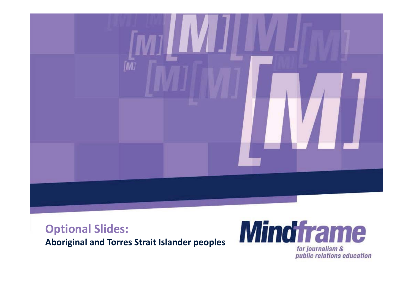

### **Optional Slides:**

**Aboriginal and Torres Strait Islander peoples**



for journalism & public relations education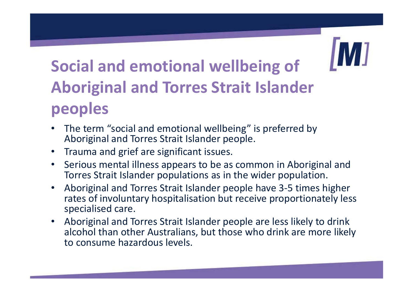### **Social and emotional wellbeing of Aboriginal and Torres Strait Islander peoples**

- $\bullet$  The term "social and emotional wellbeing" is preferred by Aboriginal and Torres Strait Islander people.
- Trauma and grief are significant issues.
- • Serious mental illness appears to be as common in Aboriginal and Torres Strait Islander populations as in the wider population.
- $\bullet$  Aboriginal and Torres Strait Islander people have 3-5 times higher rates of involuntary hospitalisation but receive proportionately less specialised care.
- Aboriginal and Torres Strait Islander people are less likely to drink alcohol than other Australians, but those who drink are more likely to consume hazardous levels.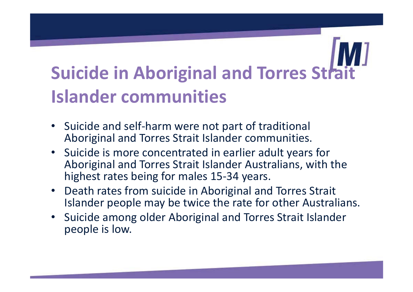## **Suicide in Aboriginal and Torres Strait Islander communities**

- Suicide and self-harm were not part of traditional Aboriginal and Torres Strait Islander communities.
- Suicide is more concentrated in earlier adult years for Aboriginal and Torres Strait Islander Australians, with the highest rates being for males 15-34 years.
- Death rates from suicide in Aboriginal and Torres Strait Islander people may be twice the rate for other Australians.
- Suicide among older Aboriginal and Torres Strait Islander people is low.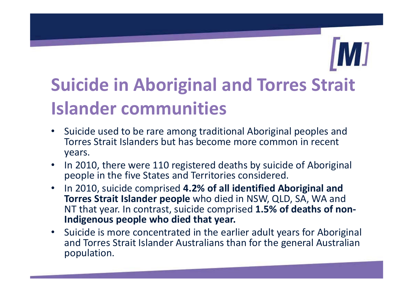### **Suicide in Aboriginal and Torres Strait Islander communities**

- Suicide used to be rare among traditional Aboriginal peoples and Torres Strait Islanders but has become more common in recent years.
- In 2010, there were 110 registered deaths by suicide of Aboriginal people in the five States and Territories considered.
- • In 2010, suicide comprised **4.2% of all identified Aboriginal and Torres Strait Islander people** who died in NSW, QLD, SA, WA and NT that year. In contrast, suicide comprised **1.5% of deaths of non-Indigenous people who died that year.**
- Suicide is more concentrated in the earlier adult years for Aboriginal and Torres Strait Islander Australians than for the general Australian population.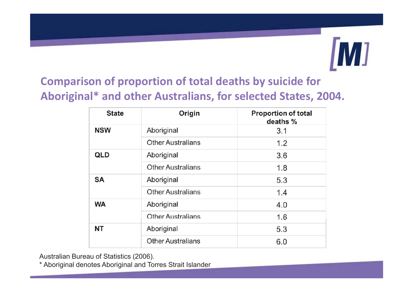# M]

### **Comparison of proportion of total deaths by suicide for Aboriginal\* and other Australians, for selected States, 2004.**

| <b>State</b> | Origin                   | <b>Proportion of total</b><br>deaths % |
|--------------|--------------------------|----------------------------------------|
| <b>NSW</b>   | Aboriginal               | 3.1                                    |
|              | <b>Other Australians</b> | 1.2                                    |
| <b>QLD</b>   | Aboriginal               | 3.6                                    |
|              | <b>Other Australians</b> | 1.8                                    |
| <b>SA</b>    | Aboriginal               | 5.3                                    |
|              | <b>Other Australians</b> | 1.4                                    |
| <b>WA</b>    | Aboriginal               | 4.0                                    |
|              | <b>Other Australians</b> | 1.6                                    |
| <b>NT</b>    | Aboriginal               | 5.3                                    |
|              | <b>Other Australians</b> | 6.0                                    |

Australian Bureau of Statistics (2006).

\* Aboriginal denotes Aboriginal and Torres Strait Islander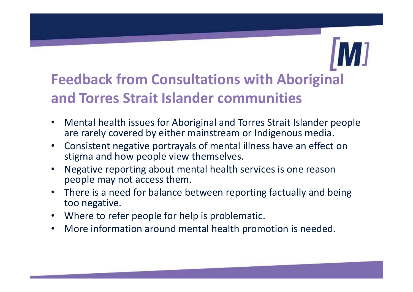### **Feedback from Consultations with Aboriginal and Torres Strait Islander communities**

- $\bullet$  Mental health issues for Aboriginal and Torres Strait Islander people are rarely covered by either mainstream or Indigenous media.
- $\bullet$  Consistent negative portrayals of mental illness have an effect on stigma and how people view themselves.
- • Negative reporting about mental health services is one reason people may not access them.
- $\bullet$  There is a need for balance between reporting factually and being too negative.
- Where to refer people for help is problematic.
- •More information around mental health promotion is needed.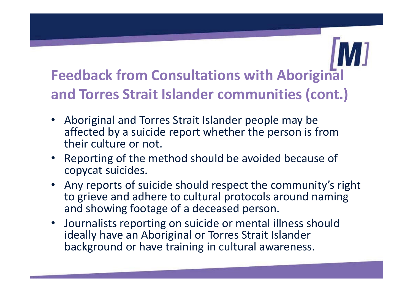### **Feedback from Consultations with Aboriginal and Torres Strait Islander communities (cont.)**

- Aboriginal and Torres Strait Islander people may be affected by a suicide report whether the person is from their culture or not.
- Reporting of the method should be avoided because of copycat suicides.
- Any reports of suicide should respect the community's right to grieve and adhere to cultural protocols around naming and showing footage of a deceased person.
- Journalists reporting on suicide or mental illness should ideally have an Aboriginal or Torres Strait Islander background or have training in cultural awareness.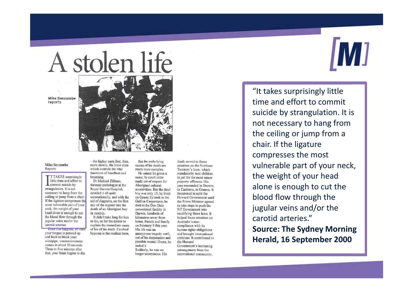# A stolen life

**Mike Seccombe** reports

### **Mike Seccombe**

Reports

**TTAKES** surprisingly little time and effort to commit suicide by strangulation. It is not necessary to hang from the ceiling or jump from a chair. If the ligature compresses the most vulnerable part of your neck, the weight of your head alone is enough to cut the blood flow through the jugular veins and/or the carotid arteries.

Once that happens, or once your tongue is pressed up and back to block your windpipe, unconsciousness comes in about 10 seconds. Three to five minutes after that, your brain begins to die - the higher parts first, then, more slowly, the brain stem which controls the vital functions of heartbeat and breathing.

Royal Darwin Hospital. detailed it all quite day of the inquest into the in custody.

But the underlying causes of his death are much more complex. He cannot be given a name, by court order Dr Michael Zillman,

made out of respect for forensic pathologist at the Aboriginal cultural sensitivities. But the dead boy was only 15; he lived unemotionally, and with the on Groote Eylandt in the aid of diagrams, on the first Gulf on Carpentaria: he died in the Don Dale death of an Aboriginal boy correctional facility in Darwin, hundreds of It didn't take long for him kilometres away from to die, or for the doctor to home, friends and family explain the immediate cause on February 9 this year. of his of his death. Cerebral His life was an hypoxia is the medical term. anonymous tragedy until. out of his desperation and possible mental illness, he

ended it. Suddenly, he was no longer anonymous. His death served to focus attention on the Northern Territory's laws, which mandatorily sent children to jail for the most minor property offences. His case resounded in Darwin in Canberra, in Geneva. It threatened to split the Howard Government until the Prime Minister agreed to take steps to push the NT Government into modifying those laws. It helped focus attention on Australia's noncompliance with its human rights obligations and brought international criticism. It contributed to the Howard Government's increasing estrangement from the

international community.

"It takes surprisingly little time and effort to commit suicide by strangulation. It is not necessary to hang from the ceiling or jump from a chair. If the ligature compresses the most vulnerable part of your neck, the weight of your head alone is enough to cut the blood flow through the jugular veins and/or the carotid arteries." **Source: The Sydney Morning Herald, 16 September 2000**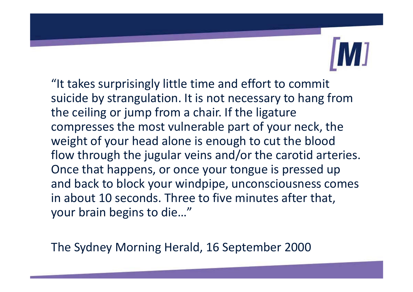"It takes surprisingly little time and effort to commit suicide by strangulation. It is not necessary to hang from the ceiling or jump from a chair. If the ligature compresses the most vulnerable part of your neck, the weight of your head alone is enough to cut the blood flow through the jugular veins and/or the carotid arteries. Once that happens, or once your tongue is pressed up and back to block your windpipe, unconsciousness comes in about 10 seconds. Three to five minutes after that, your brain begins to die…"

The Sydney Morning Herald, 16 September 2000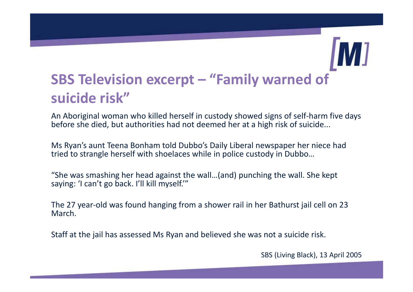### **SBS Television excerpt – "Family warned of suicide risk"**

An Aboriginal woman who killed herself in custody showed signs of self-harm five days before she died, but authorities had not deemed her at a high risk of suicide...

Ms Ryan's aunt Teena Bonham told Dubbo's Daily Liberal newspaper her niece had tried to strangle herself with shoelaces while in police custody in Dubbo…

"She was smashing her head against the wall…(and) punching the wall. She kept saying: 'I can't go back. I'll kill myself.'"

The 27 year-old was found hanging from a shower rail in her Bathurst jail cell on 23 March.

Staff at the jail has assessed Ms Ryan and believed she was not a suicide risk.

SBS (Living Black), 13 April 2005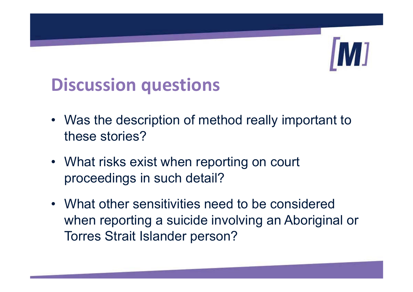### **Discussion questions**

- Was the description of method really important to these stories?
- What risks exist when reporting on court proceedings in such detail?
- What other sensitivities need to be considered when reporting a suicide involving an Aboriginal or Torres Strait Islander person?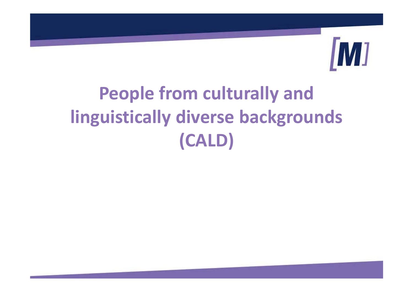

# **People from culturally and linguistically diverse backgrounds (CALD)**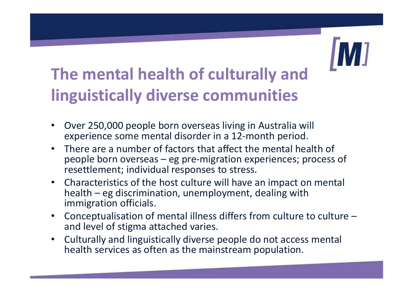### **The mental health of culturally and linguistically diverse communities**

- $\bullet$  Over 250,000 people born overseas living in Australia will experience some mental disorder in a 12-month period.
- There are a number of factors that affect the mental health of people born overseas – eg pre-migration experiences; process of resettlement; individual responses to stress.
- Characteristics of the host culture will have an impact on mental health – eg discrimination, unemployment, dealing with immigration officials.
- Conceptualisation of mental illness differs from culture to culture  $$ and level of stigma attached varies.
- • Culturally and linguistically diverse people do not access mental health services as often as the mainstream population.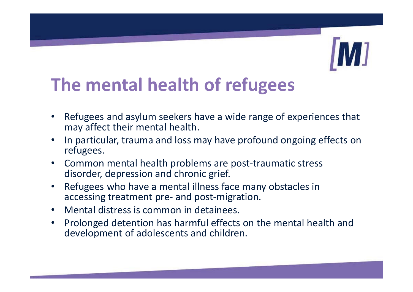### **The mental health of refugees**

- $\bullet$  Refugees and asylum seekers have a wide range of experiences that may affect their mental health.
- • In particular, trauma and loss may have profound ongoing effects on refugees.
- $\bullet$  Common mental health problems are post-traumatic stress disorder, depression and chronic grief.
- • Refugees who have a mental illness face many obstacles in accessing treatment pre- and post-migration.
- $\bullet$ Mental distress is common in detainees.
- $\bullet$  Prolonged detention has harmful effects on the mental health and development of adolescents and children.